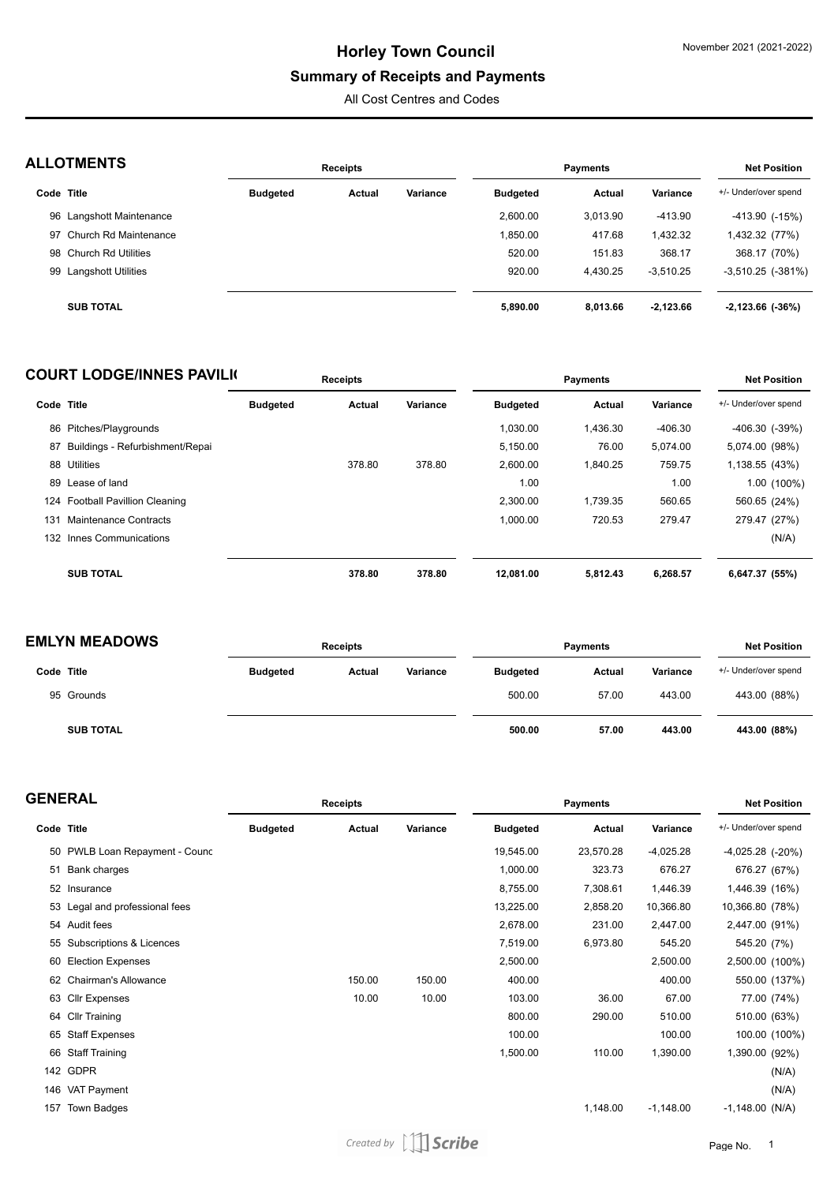### **Summary of Receipts and Payments**

All Cost Centres and Codes

| <b>ALLOTMENTS</b> |
|-------------------|
|-------------------|

| <b>NLLVIMENIJ</b>        |                 | <b>Receipts</b> |          | Payments        | <b>Net Position</b> |             |                         |
|--------------------------|-----------------|-----------------|----------|-----------------|---------------------|-------------|-------------------------|
| Code Title               | <b>Budgeted</b> | Actual          | Variance | <b>Budgeted</b> | Actual              | Variance    | +/- Under/over spend    |
| 96 Langshott Maintenance |                 |                 |          | 2.600.00        | 3,013.90            | $-413.90$   | -413.90 (-15%)          |
| 97 Church Rd Maintenance |                 |                 |          | 1,850.00        | 417.68              | 1,432.32    | 1,432.32 (77%)          |
| 98 Church Rd Utilities   |                 |                 |          | 520.00          | 151.83              | 368.17      | 368.17 (70%)            |
| 99 Langshott Utilities   |                 |                 |          | 920.00          | 4.430.25            | $-3.510.25$ | $-3,510.25$ $(-381\%)$  |
| <b>SUB TOTAL</b>         |                 |                 |          | 5,890.00        | 8,013.66            | $-2,123.66$ | $-2,123.66$ ( $-36\%$ ) |

### **COURT LODGE/INNES PAVILIC**

|     | COURT LODGE/INNES PAVILK        |                 | <b>Receipts</b> |          |                 | <b>Payments</b> |           | <b>Net Position</b>  |
|-----|---------------------------------|-----------------|-----------------|----------|-----------------|-----------------|-----------|----------------------|
|     | Code Title                      | <b>Budgeted</b> | Actual          | Variance | <b>Budgeted</b> | Actual          | Variance  | +/- Under/over spend |
| 86  | Pitches/Playgrounds             |                 |                 |          | 1.030.00        | 1.436.30        | $-406.30$ | $-406.30$ $(-39%)$   |
| 87  | Buildings - Refurbishment/Repai |                 |                 |          | 5,150.00        | 76.00           | 5,074.00  | 5,074.00 (98%)       |
|     | 88 Utilities                    |                 | 378.80          | 378.80   | 2,600.00        | 1,840.25        | 759.75    | 1,138.55 (43%)       |
|     | 89 Lease of land                |                 |                 |          | 1.00            |                 | 1.00      | 1.00 (100%)          |
|     | 124 Football Pavillion Cleaning |                 |                 |          | 2.300.00        | 1.739.35        | 560.65    | 560.65 (24%)         |
| 131 | Maintenance Contracts           |                 |                 |          | 1,000.00        | 720.53          | 279.47    | 279.47 (27%)         |
| 132 | Innes Communications            |                 |                 |          |                 |                 |           | (N/A)                |
|     | <b>SUB TOTAL</b>                |                 | 378.80          | 378.80   | 12,081.00       | 5.812.43        | 6,268.57  | 6,647.37 (55%)       |

#### **EMLYN MEADOWS**

| MLYN MEADOWS     | <b>Receipts</b> |        | <b>Payments</b> | <b>Net Position</b> |               |          |                      |
|------------------|-----------------|--------|-----------------|---------------------|---------------|----------|----------------------|
| Code Title       | <b>Budgeted</b> | Actual | Variance        | <b>Budgeted</b>     | <b>Actual</b> | Variance | +/- Under/over spend |
| 95 Grounds       |                 |        |                 | 500.00              | 57.00         | 443.00   | 443.00 (88%)         |
| <b>SUB TOTAL</b> |                 |        |                 | 500.00              | 57.00         | 443.00   | 443.00 (88%)         |

| <b>GENERAL</b> |  |  |  |  |  |
|----------------|--|--|--|--|--|
|----------------|--|--|--|--|--|

|     | <b>;ENERAL</b>                 |                 | Receipts |          |                 | <b>Net Position</b> |             |                      |
|-----|--------------------------------|-----------------|----------|----------|-----------------|---------------------|-------------|----------------------|
|     | Code Title                     | <b>Budgeted</b> | Actual   | Variance | <b>Budgeted</b> | Actual              | Variance    | +/- Under/over spend |
|     | 50 PWLB Loan Repayment - Counc |                 |          |          | 19,545.00       | 23,570.28           | $-4,025.28$ | -4,025.28 (-20%)     |
|     | 51 Bank charges                |                 |          |          | 1,000.00        | 323.73              | 676.27      | 676.27 (67%)         |
|     | 52 Insurance                   |                 |          |          | 8,755.00        | 7,308.61            | 1,446.39    | 1,446.39 (16%)       |
|     | 53 Legal and professional fees |                 |          |          | 13,225.00       | 2,858.20            | 10,366.80   | 10,366.80 (78%)      |
|     | 54 Audit fees                  |                 |          |          | 2,678.00        | 231.00              | 2,447.00    | 2,447.00 (91%)       |
|     | 55 Subscriptions & Licences    |                 |          |          | 7,519.00        | 6,973.80            | 545.20      | 545.20 (7%)          |
| 60  | <b>Election Expenses</b>       |                 |          |          | 2,500.00        |                     | 2,500.00    | 2,500.00 (100%)      |
| 62  | <b>Chairman's Allowance</b>    |                 | 150.00   | 150.00   | 400.00          |                     | 400.00      | 550.00 (137%)        |
|     | 63 Cllr Expenses               |                 | 10.00    | 10.00    | 103.00          | 36.00               | 67.00       | 77.00 (74%)          |
|     | 64 Cllr Training               |                 |          |          | 800.00          | 290.00              | 510.00      | 510.00 (63%)         |
|     | 65 Staff Expenses              |                 |          |          | 100.00          |                     | 100.00      | 100.00 (100%)        |
|     | 66 Staff Training              |                 |          |          | 1,500.00        | 110.00              | 1,390.00    | 1,390.00 (92%)       |
|     | 142 GDPR                       |                 |          |          |                 |                     |             | (N/A)                |
| 146 | VAT Payment                    |                 |          |          |                 |                     |             | (N/A)                |
| 157 | Town Badges                    |                 |          |          |                 | 1,148.00            | $-1,148.00$ | $-1,148.00$ (N/A)    |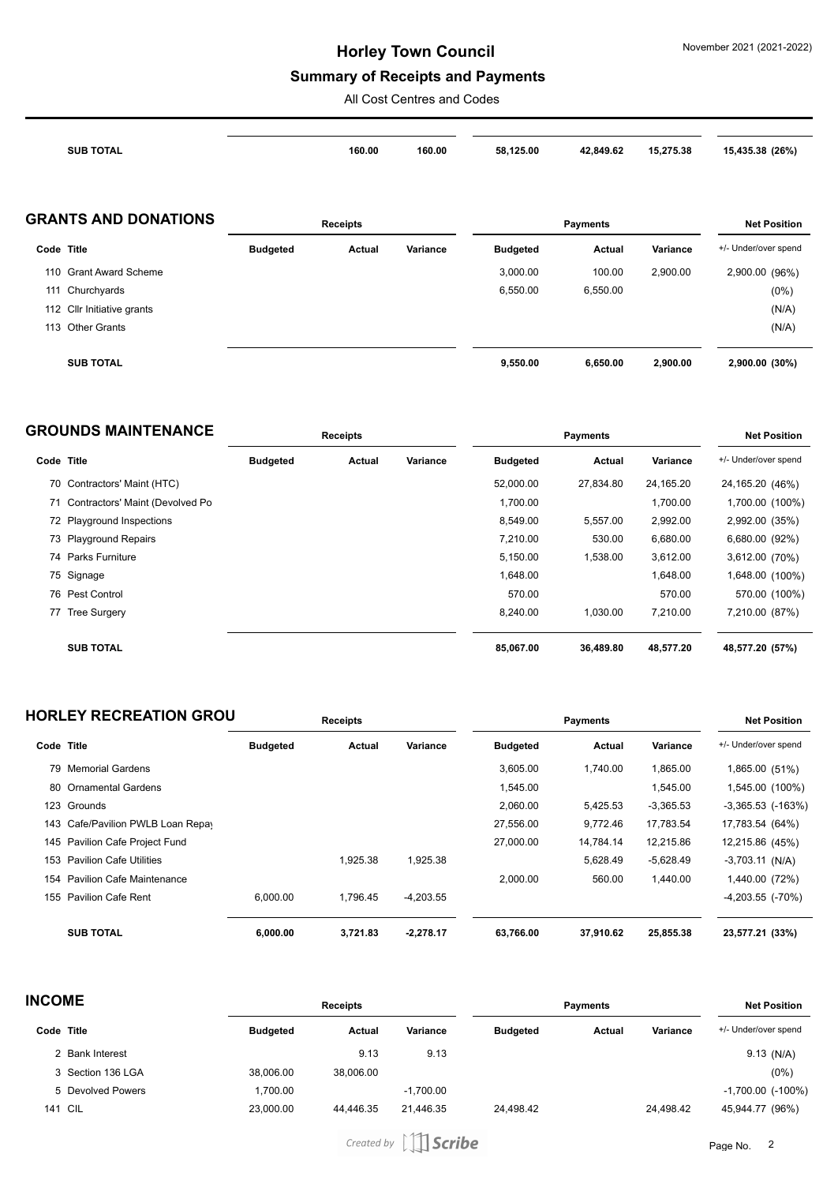## **Summary of Receipts and Payments**

All Cost Centres and Codes

|            | <b>SUB TOTAL</b>            |                 | 160.00          | 160.00   | 58,125.00       | 42,849.62       | 15,275.38 | 15,435.38 (26%)      |
|------------|-----------------------------|-----------------|-----------------|----------|-----------------|-----------------|-----------|----------------------|
|            | <b>GRANTS AND DONATIONS</b> |                 | <b>Receipts</b> |          |                 | <b>Payments</b> |           | <b>Net Position</b>  |
| Code Title |                             | <b>Budgeted</b> | Actual          | Variance | <b>Budgeted</b> | Actual          | Variance  | +/- Under/over spend |
|            | 110 Grant Award Scheme      |                 |                 |          | 3,000.00        | 100.00          | 2,900.00  | 2,900.00 (96%)       |
| 111        | Churchyards                 |                 |                 |          | 6,550.00        | 6,550.00        |           | (0%)                 |
|            | 112 Cllr Initiative grants  |                 |                 |          |                 |                 |           | (N/A)                |
| 113        | <b>Other Grants</b>         |                 |                 |          |                 |                 |           | (N/A)                |
|            | <b>SUB TOTAL</b>            |                 |                 |          | 9,550.00        | 6,650.00        | 2,900.00  | 2,900.00 (30%)       |

|            | <b>GROUNDS MAINTENANCE</b>         | <b>Receipts</b> |        |          |                 | <b>Net Position</b> |           |                      |
|------------|------------------------------------|-----------------|--------|----------|-----------------|---------------------|-----------|----------------------|
| Code Title |                                    | <b>Budgeted</b> | Actual | Variance | <b>Budgeted</b> | Actual              | Variance  | +/- Under/over spend |
|            | 70 Contractors' Maint (HTC)        |                 |        |          | 52,000.00       | 27,834.80           | 24,165.20 | 24,165.20 (46%)      |
|            | 71 Contractors' Maint (Devolved Po |                 |        |          | 1,700.00        |                     | 1,700.00  | 1,700.00 (100%)      |
|            | 72 Playground Inspections          |                 |        |          | 8,549.00        | 5,557.00            | 2,992.00  | 2,992.00 (35%)       |
|            | 73 Playground Repairs              |                 |        |          | 7,210.00        | 530.00              | 6,680.00  | 6,680.00 (92%)       |
|            | 74 Parks Furniture                 |                 |        |          | 5,150.00        | 1,538.00            | 3,612.00  | 3,612.00 (70%)       |
|            | 75 Signage                         |                 |        |          | 1,648.00        |                     | 1,648.00  | 1,648.00 (100%)      |
|            | 76 Pest Control                    |                 |        |          | 570.00          |                     | 570.00    | 570.00 (100%)        |
|            | 77 Tree Surgery                    |                 |        |          | 8.240.00        | 1,030.00            | 7.210.00  | 7,210.00 (87%)       |
|            | <b>SUB TOTAL</b>                   |                 |        |          | 85.067.00       | 36.489.80           | 48.577.20 | 48,577.20 (57%)      |

|            | <b>HORLEY RECREATION GROU</b>     | <b>Receipts</b> |          |             |                 | <b>Net Position</b> |             |                       |
|------------|-----------------------------------|-----------------|----------|-------------|-----------------|---------------------|-------------|-----------------------|
| Code Title |                                   | <b>Budgeted</b> | Actual   | Variance    | <b>Budgeted</b> | Actual              | Variance    | +/- Under/over spend  |
|            | 79 Memorial Gardens               |                 |          |             | 3.605.00        | 1.740.00            | 1,865.00    | 1,865.00 (51%)        |
|            | 80 Ornamental Gardens             |                 |          |             | 1,545.00        |                     | 1,545.00    | 1,545.00 (100%)       |
|            | 123 Grounds                       |                 |          |             | 2.060.00        | 5,425.53            | $-3,365.53$ | $-3,365.53$ $(-163%)$ |
|            | 143 Cafe/Pavilion PWLB Loan Repay |                 |          |             | 27,556.00       | 9,772.46            | 17,783.54   | 17,783.54 (64%)       |
|            | 145 Pavilion Cafe Project Fund    |                 |          |             | 27,000.00       | 14.784.14           | 12,215.86   | 12,215.86 (45%)       |
| 153        | <b>Pavilion Cafe Utilities</b>    |                 | 1,925.38 | 1,925.38    |                 | 5,628.49            | $-5,628.49$ | $-3,703.11$ (N/A)     |
| 154        | <b>Pavilion Cafe Maintenance</b>  |                 |          |             | 2.000.00        | 560.00              | 1,440.00    | 1,440.00 (72%)        |
| 155        | <b>Pavilion Cafe Rent</b>         | 6,000.00        | 1.796.45 | $-4,203.55$ |                 |                     |             | $-4,203.55$ $(-70%)$  |
|            | <b>SUB TOTAL</b>                  | 6,000.00        | 3.721.83 | $-2,278.17$ | 63,766.00       | 37,910.62           | 25,855.38   | 23,577.21 (33%)       |

| <b>INCOME</b> |                   | <b>Receipts</b> |           |             | <b>Payments</b> |               |           | <b>Net Position</b>      |  |
|---------------|-------------------|-----------------|-----------|-------------|-----------------|---------------|-----------|--------------------------|--|
|               | Code Title        | <b>Budgeted</b> | Actual    | Variance    | <b>Budgeted</b> | <b>Actual</b> | Variance  | +/- Under/over spend     |  |
|               | 2 Bank Interest   |                 | 9.13      | 9.13        |                 |               |           | $9.13$ (N/A)             |  |
|               | 3 Section 136 LGA | 38.006.00       | 38.006.00 |             |                 |               |           | (0%)                     |  |
|               | 5 Devolved Powers | 1.700.00        |           | $-1,700.00$ |                 |               |           | $-1,700.00$ ( $-100\%$ ) |  |
|               | <b>141 CIL</b>    | 23.000.00       | 44.446.35 | 21.446.35   | 24.498.42       |               | 24.498.42 | 45,944.77 (96%)          |  |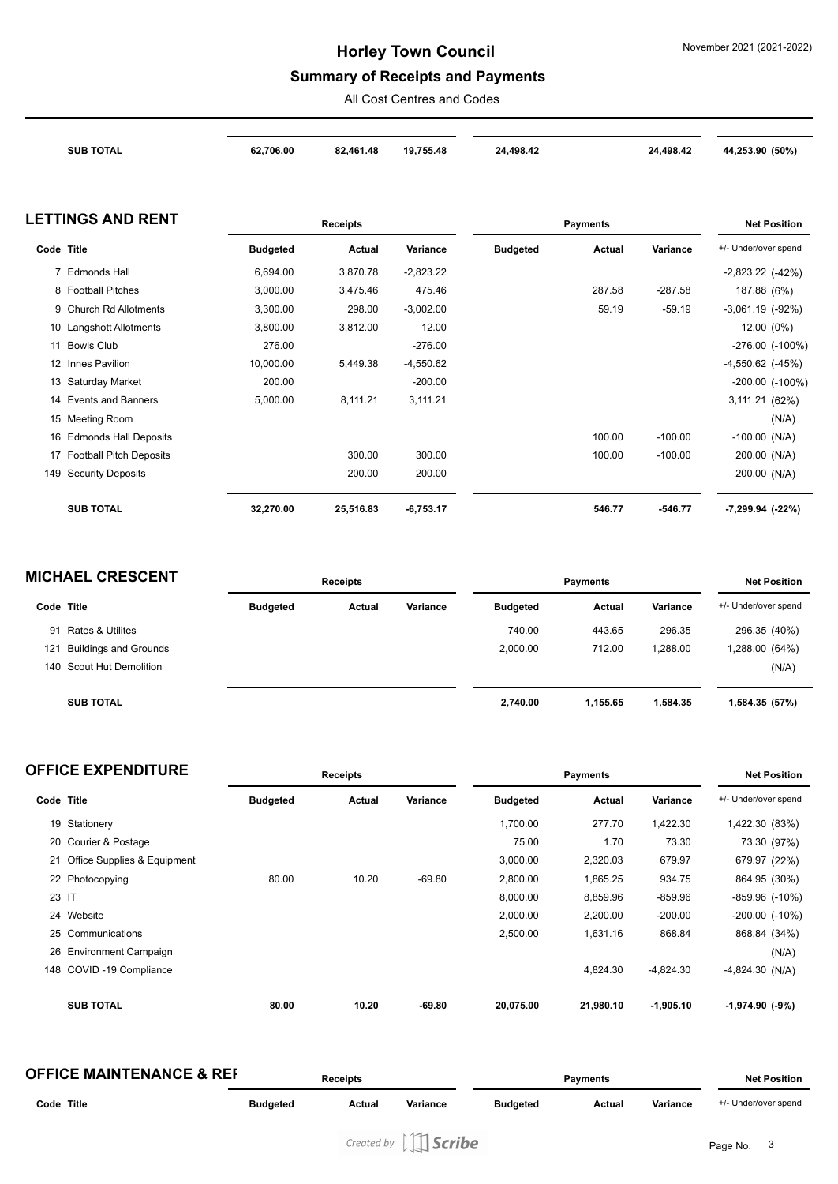## **Summary of Receipts and Payments**

All Cost Centres and Codes

|            | <b>SUB TOTAL</b>               | 62,706.00       | 82,461.48       | 19,755.48   | 24,498.42       |                 | 24,498.42 | 44,253.90 (50%)       |
|------------|--------------------------------|-----------------|-----------------|-------------|-----------------|-----------------|-----------|-----------------------|
|            |                                |                 |                 |             |                 |                 |           |                       |
|            | <b>LETTINGS AND RENT</b>       |                 | <b>Receipts</b> |             |                 | <b>Payments</b> |           | <b>Net Position</b>   |
| Code Title |                                | <b>Budgeted</b> | Actual          | Variance    | <b>Budgeted</b> | <b>Actual</b>   | Variance  | +/- Under/over spend  |
|            | 7 Edmonds Hall                 | 6.694.00        | 3,870.78        | $-2.823.22$ |                 |                 |           | $-2,823.22$ $(-42%)$  |
|            | 8 Football Pitches             | 3.000.00        | 3.475.46        | 475.46      |                 | 287.58          | $-287.58$ | 187.88 (6%)           |
|            | 9 Church Rd Allotments         | 3,300.00        | 298.00          | $-3,002.00$ |                 | 59.19           | $-59.19$  | $-3,061.19$ $(-92\%)$ |
|            | 10 Langshott Allotments        | 3,800.00        | 3,812.00        | 12.00       |                 |                 |           | 12.00 (0%)            |
|            | 11 Bowls Club                  | 276.00          |                 | $-276.00$   |                 |                 |           | $-276.00$ $(-100\%)$  |
|            | 12 Innes Pavilion              | 10.000.00       | 5,449.38        | $-4,550.62$ |                 |                 |           | $-4,550.62$ $(-45%)$  |
|            | 13 Saturday Market             | 200.00          |                 | $-200.00$   |                 |                 |           | -200.00 (-100%)       |
| 14         | <b>Events and Banners</b>      | 5,000.00        | 8,111.21        | 3,111.21    |                 |                 |           | 3,111.21 (62%)        |
|            | 15 Meeting Room                |                 |                 |             |                 |                 |           | (N/A)                 |
|            | 16 Edmonds Hall Deposits       |                 |                 |             |                 | 100.00          | $-100.00$ | $-100.00$ (N/A)       |
| 17         | <b>Football Pitch Deposits</b> |                 | 300.00          | 300.00      |                 | 100.00          | $-100.00$ | 200.00 (N/A)          |
|            | 149 Security Deposits          |                 | 200.00          | 200.00      |                 |                 |           | 200.00 (N/A)          |
|            | <b>SUB TOTAL</b>               | 32,270.00       | 25,516.83       | $-6,753.17$ |                 | 546.77          | $-546.77$ | $-7,299.94$ $(-22%)$  |

| <b>MICHAEL CRESCENT</b> |                              | <b>Receipts</b> |        |          | <b>Payments</b> | <b>Net Position</b> |          |                      |
|-------------------------|------------------------------|-----------------|--------|----------|-----------------|---------------------|----------|----------------------|
| Code Title              |                              | <b>Budgeted</b> | Actual | Variance | <b>Budgeted</b> | <b>Actual</b>       | Variance | +/- Under/over spend |
| 91                      | <b>Rates &amp; Utilites</b>  |                 |        |          | 740.00          | 443.65              | 296.35   | 296.35 (40%)         |
| 121                     | <b>Buildings and Grounds</b> |                 |        |          | 2.000.00        | 712.00              | .288.00  | (64%) 288.00         |
|                         | 140 Scout Hut Demolition     |                 |        |          |                 |                     |          | (N/A)                |
|                         | <b>SUB TOTAL</b>             |                 |        |          | 2,740.00        | 1,155.65            | 1.584.35 | 1,584.35 (57%)       |

|            | <b>OFFICE EXPENDITURE</b>   | <b>Receipts</b> |        |          | <b>Payments</b> |           |             | <b>Net Position</b>    |  |
|------------|-----------------------------|-----------------|--------|----------|-----------------|-----------|-------------|------------------------|--|
| Code Title |                             | <b>Budgeted</b> | Actual | Variance | <b>Budgeted</b> | Actual    | Variance    | +/- Under/over spend   |  |
|            | 19 Stationery               |                 |        |          | 1,700.00        | 277.70    | 1,422.30    | 1,422.30 (83%)         |  |
|            | 20 Courier & Postage        |                 |        |          | 75.00           | 1.70      | 73.30       | 73.30 (97%)            |  |
| 21         | Office Supplies & Equipment |                 |        |          | 3,000.00        | 2,320.03  | 679.97      | 679.97 (22%)           |  |
|            | 22 Photocopying             | 80.00           | 10.20  | $-69.80$ | 2,800.00        | 1,865.25  | 934.75      | 864.95 (30%)           |  |
| 23 IT      |                             |                 |        |          | 8,000.00        | 8,859.96  | $-859.96$   | $-859.96$ $(-10\%)$    |  |
|            | 24 Website                  |                 |        |          | 2,000.00        | 2,200.00  | $-200.00$   | $-200.00$ $(-10\%)$    |  |
|            | 25 Communications           |                 |        |          | 2,500.00        | 1,631.16  | 868.84      | 868.84 (34%)           |  |
|            | 26 Environment Campaign     |                 |        |          |                 |           |             | (N/A)                  |  |
| 148        | COVID-19 Compliance         |                 |        |          |                 | 4,824.30  | $-4,824.30$ | $-4,824.30$ (N/A)      |  |
|            | <b>SUB TOTAL</b>            | 80.00           | 10.20  | $-69.80$ | 20,075.00       | 21,980.10 | $-1,905.10$ | $-1,974.90$ ( $-9\%$ ) |  |

| <b>OFFICE MAINTENANCE &amp; REF</b> |                 | Receipts |          |                 | <b>Payments</b> |          |                      |
|-------------------------------------|-----------------|----------|----------|-----------------|-----------------|----------|----------------------|
| Code Title                          | <b>Budgeted</b> | Actual   | Variance | <b>Budgeted</b> | Actual          | Variance | +/- Under/over spend |
|                                     |                 |          |          |                 |                 |          |                      |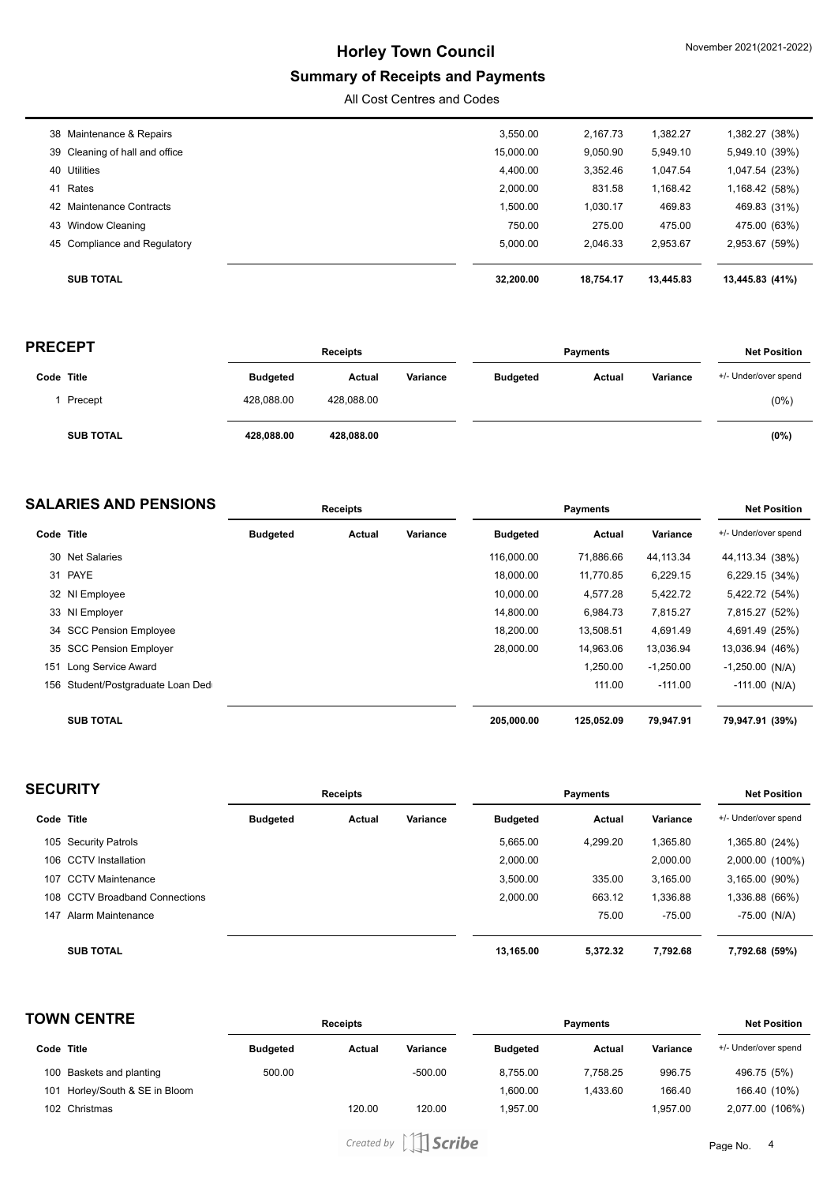## **Summary of Receipts and Payments**

All Cost Centres and Codes

| 38 Maintenance & Repairs       | 3,550.00  | 2.167.73  | 1,382.27  | 1,382.27 (38%)  |
|--------------------------------|-----------|-----------|-----------|-----------------|
| 39 Cleaning of hall and office | 15,000.00 | 9,050.90  | 5,949.10  | 5,949.10 (39%)  |
| 40 Utilities                   | 4,400.00  | 3,352.46  | 1,047.54  | 1,047.54 (23%)  |
| 41 Rates                       | 2,000.00  | 831.58    | 1,168.42  | 1,168.42 (58%)  |
| 42 Maintenance Contracts       | 1,500.00  | 1,030.17  | 469.83    | 469.83 (31%)    |
| 43 Window Cleaning             | 750.00    | 275.00    | 475.00    | 475.00 (63%)    |
| 45 Compliance and Regulatory   | 5,000.00  | 2.046.33  | 2.953.67  | 2,953.67 (59%)  |
|                                |           |           |           |                 |
| <b>SUB TOTAL</b>               | 32.200.00 | 18.754.17 | 13.445.83 | 13,445.83 (41%) |

| <b>PRECEPT</b> |                  | <b>Receipts</b> |            |          | <b>Payments</b> |        |          | <b>Net Position</b>  |  |
|----------------|------------------|-----------------|------------|----------|-----------------|--------|----------|----------------------|--|
| Code Title     |                  | <b>Budgeted</b> | Actual     | Variance | <b>Budgeted</b> | Actual | Variance | +/- Under/over spend |  |
|                | Precept          | 428,088.00      | 428.088.00 |          |                 |        |          | (0% )                |  |
|                | <b>SUB TOTAL</b> | 428,088.00      | 428,088.00 |          |                 |        |          | (0%)                 |  |

| <b>SALARIES AND PENSIONS</b> |                                   | <b>Receipts</b> |        |          |                 |            | <b>Net Position</b> |                      |
|------------------------------|-----------------------------------|-----------------|--------|----------|-----------------|------------|---------------------|----------------------|
| Code Title                   |                                   | <b>Budgeted</b> | Actual | Variance | <b>Budgeted</b> | Actual     | Variance            | +/- Under/over spend |
|                              | 30 Net Salaries                   |                 |        |          | 116,000.00      | 71,886.66  | 44,113.34           | 44,113.34 (38%)      |
|                              | 31 PAYE                           |                 |        |          | 18,000.00       | 11,770.85  | 6,229.15            | 6,229.15 (34%)       |
|                              | 32 NI Employee                    |                 |        |          | 10,000.00       | 4,577.28   | 5,422.72            | 5,422.72 (54%)       |
|                              | 33 NI Employer                    |                 |        |          | 14.800.00       | 6.984.73   | 7,815.27            | 7,815.27 (52%)       |
|                              | 34 SCC Pension Employee           |                 |        |          | 18.200.00       | 13,508.51  | 4,691.49            | 4,691.49 (25%)       |
|                              | 35 SCC Pension Employer           |                 |        |          | 28.000.00       | 14.963.06  | 13,036.94           | 13,036.94 (46%)      |
| 151                          | Long Service Award                |                 |        |          |                 | 1,250.00   | $-1,250.00$         | $-1,250.00$ (N/A)    |
|                              | 156 Student/Postgraduate Loan Ded |                 |        |          |                 | 111.00     | $-111.00$           | $-111.00$ (N/A)      |
|                              | <b>SUB TOTAL</b>                  |                 |        |          | 205,000.00      | 125.052.09 | 79.947.91           | 79,947.91 (39%)      |

| <b>SECURITY</b> |                                | <b>Receipts</b> |        |          | <b>Payments</b> |          |          | <b>Net Position</b>  |  |
|-----------------|--------------------------------|-----------------|--------|----------|-----------------|----------|----------|----------------------|--|
| Code Title      |                                | <b>Budgeted</b> | Actual | Variance | <b>Budgeted</b> | Actual   | Variance | +/- Under/over spend |  |
|                 | 105 Security Patrols           |                 |        |          | 5,665.00        | 4,299.20 | 1,365.80 | 1,365.80 (24%)       |  |
|                 | 106 CCTV Installation          |                 |        |          | 2,000.00        |          | 2,000.00 | 2,000.00 (100%)      |  |
| 107             | <b>CCTV Maintenance</b>        |                 |        |          | 3,500.00        | 335.00   | 3,165.00 | 3,165.00 (90%)       |  |
|                 | 108 CCTV Broadband Connections |                 |        |          | 2,000.00        | 663.12   | 1,336.88 | 1,336.88 (66%)       |  |
| 147             | Alarm Maintenance              |                 |        |          |                 | 75.00    | $-75.00$ | $-75.00$ (N/A)       |  |
|                 | <b>SUB TOTAL</b>               |                 |        |          | 13.165.00       | 5.372.32 | 7.792.68 | 7,792.68 (59%)       |  |

| <b>TOWN CENTRE</b> |                            | <b>Receipts</b> |        |           | <b>Payments</b> |               |          | <b>Net Position</b>  |  |
|--------------------|----------------------------|-----------------|--------|-----------|-----------------|---------------|----------|----------------------|--|
|                    | Code Title                 | <b>Budgeted</b> | Actual | Variance  | <b>Budgeted</b> | <b>Actual</b> | Variance | +/- Under/over spend |  |
|                    | 100 Baskets and planting   | 500.00          |        | $-500.00$ | 8.755.00        | 7.758.25      | 996.75   | 496.75 (5%)          |  |
| 101                | Horley/South & SE in Bloom |                 |        |           | 1.600.00        | 1.433.60      | 166.40   | 166.40 (10%)         |  |
|                    | 102 Christmas              |                 | 120.00 | 120.00    | 1.957.00        |               | 1.957.00 | 2,077.00 (106%)      |  |

Created by [11 Scribe